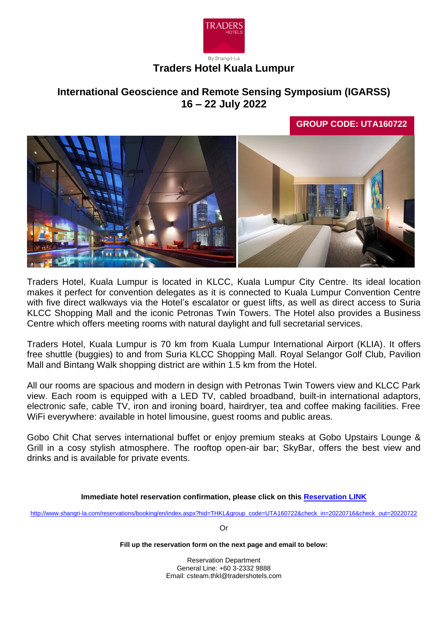

# **Traders Hotel Kuala Lumpur**

# **International Geoscience and Remote Sensing Symposium (IGARSS) 16 – 22 July 2022**

**GROUP CODE: UTA160722**



Traders Hotel, Kuala Lumpur is located in KLCC, Kuala Lumpur City Centre. Its ideal location makes it perfect for convention delegates as it is connected to Kuala Lumpur Convention Centre with five direct walkways via the Hotel's escalator or quest lifts, as well as direct access to Suria KLCC Shopping Mall and the iconic Petronas Twin Towers. The Hotel also provides a Business Centre which offers meeting rooms with natural daylight and full secretarial services.

Traders Hotel, Kuala Lumpur is 70 km from Kuala Lumpur International Airport (KLIA). It offers free shuttle (buggies) to and from Suria KLCC Shopping Mall. Royal Selangor Golf Club, Pavilion Mall and Bintang Walk shopping district are within 1.5 km from the Hotel.

All our rooms are spacious and modern in design with Petronas Twin Towers view and KLCC Park view. Each room is equipped with a LED TV, cabled broadband, built-in international adaptors, electronic safe, cable TV, iron and ironing board, hairdryer, tea and coffee making facilities. Free WiFi everywhere: available in hotel limousine, guest rooms and public areas.

Gobo Chit Chat serves international buffet or enjoy premium steaks at Gobo Upstairs Lounge & Grill in a cosy stylish atmosphere. The rooftop open-air bar; SkyBar, offers the best view and drinks and is available for private events.

**Immediate hotel reservation confirmation, please click on this [Reservation LINK](https://apc01.safelinks.protection.outlook.com/?url=http%3A%2F%2Fwww.shangri-la.com%2Freservations%2Fbooking%2Fen%2Findex.aspx%3Fhid%3DTHKL%26group_code%3DAND210222%26check_in%3D20220224%26check_out%3D20220228&data=04%7C01%7Cjoey.tan%40tradershotels.com%7Ce1bb27f3918d40580bb208d9b534ca46%7Cb4b94aa124084fce9babf498c1f95951%7C0%7C0%7C637740060593560188%7CUnknown%7CTWFpbGZsb3d8eyJWIjoiMC4wLjAwMDAiLCJQIjoiV2luMzIiLCJBTiI6Ik1haWwiLCJXVCI6Mn0%3D%7C3000&sdata=YJU5PhbxjwUpvRI7B6ofjjs0yZ0SRcOeaDwQFu%2FbLmM%3D&reserved=0)**

[http://www.shangri-la.com/reservations/booking/en/index.aspx?hid=THKL&group\\_code=UTA160722&check\\_in=20220716&check\\_out=20220722](https://apc01.safelinks.protection.outlook.com/?url=http%3A%2F%2Fwww.shangri-la.com%2Freservations%2Fbooking%2Fen%2Findex.aspx%3Fhid%3DTHKL%26group_code%3DUTA160722%26check_in%3D20220716%26check_out%3D20220722&data=04%7C01%7Caires.oh%40tradershotels.com%7Cb69110ae8c9f4748dc7008d9fb56f2cc%7Cb4b94aa124084fce9babf498c1f95951%7C0%7C0%7C637817173127423189%7CUnknown%7CTWFpbGZsb3d8eyJWIjoiMC4wLjAwMDAiLCJQIjoiV2luMzIiLCJBTiI6Ik1haWwiLCJXVCI6Mn0%3D%7C3000&sdata=C0xHzPa9%2BjKLoSKT0ygAEq83k7GttMdOx9Hm19bAY2I%3D&reserved=0)

Or

**Fill up the reservation form on the next page and email to below:**

Reservation Department General Line: +60 3-2332 9888 Email: csteam.thkl@tradershotels.com